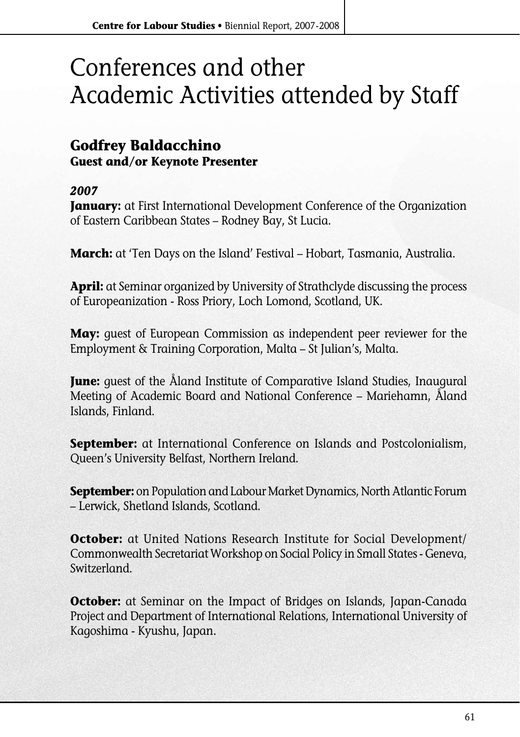# Conferences and other Academic Activities attended by Staff

### **Godfrey Baldacchino Guest and/or Keynote Presenter**

#### *2007*

**January:** at First International Development Conference of the Organization of Eastern Caribbean States – Rodney Bay, St Lucia.

**March:** at 'Ten Days on the Island' Festival – Hobart, Tasmania, Australia.

**April:** at Seminar organized by University of Strathclyde discussing the process of Europeanization - Ross Priory, Loch Lomond, Scotland, UK.

**May:** guest of European Commission as independent peer reviewer for the Employment & Training Corporation, Malta – St Julian's, Malta.

**June:** guest of the Åland Institute of Comparative Island Studies, Inaugural Meeting of Academic Board and National Conference – Mariehamn, Åland Islands, Finland.

**September:** at International Conference on Islands and Postcolonialism, Queen's University Belfast, Northern Ireland.

**September:** on Population and Labour Market Dynamics, North Atlantic Forum – Lerwick, Shetland Islands, Scotland.

**October:** at United Nations Research Institute for Social Development/ Commonwealth Secretariat Workshop on Social Policy in Small States - Geneva, Switzerland.

**October:** at Seminar on the Impact of Bridges on Islands, Japan-Canada Project and Department of International Relations, International University of Kagoshima - Kyushu, Japan.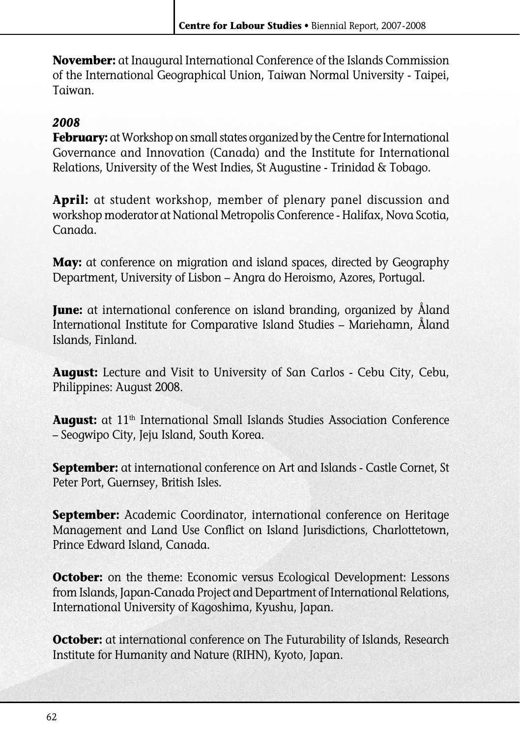**November:** at Inaugural International Conference of the Islands Commission of the International Geographical Union, Taiwan Normal University - Taipei, Taiwan.

#### *2008*

**February:** at Workshop on small states organized by the Centre for International Governance and Innovation (Canada) and the Institute for International Relations, University of the West Indies, St Augustine - Trinidad & Tobago.

**April:** at student workshop, member of plenary panel discussion and workshop moderator at National Metropolis Conference - Halifax, Nova Scotia, Canada.

**May:** at conference on migration and island spaces, directed by Geography Department, University of Lisbon – Angra do Heroismo, Azores, Portugal.

**June:** at international conference on island branding, organized by Åland International Institute for Comparative Island Studies – Mariehamn, Åland Islands, Finland.

**August:** Lecture and Visit to University of San Carlos - Cebu City, Cebu, Philippines: August 2008.

August: at 11<sup>th</sup> International Small Islands Studies Association Conference – Seogwipo City, Jeju Island, South Korea.

**September:** at international conference on Art and Islands - Castle Cornet, St Peter Port, Guernsey, British Isles.

**September:** Academic Coordinator, international conference on Heritage Management and Land Use Conflict on Island Jurisdictions, Charlottetown, Prince Edward Island, Canada.

**October:** on the theme: Economic versus Ecological Development: Lessons from Islands, Japan-Canada Project and Department of International Relations, International University of Kagoshima, Kyushu, Japan.

**October:** at international conference on The Futurability of Islands, Research Institute for Humanity and Nature (RIHN), Kyoto, Japan.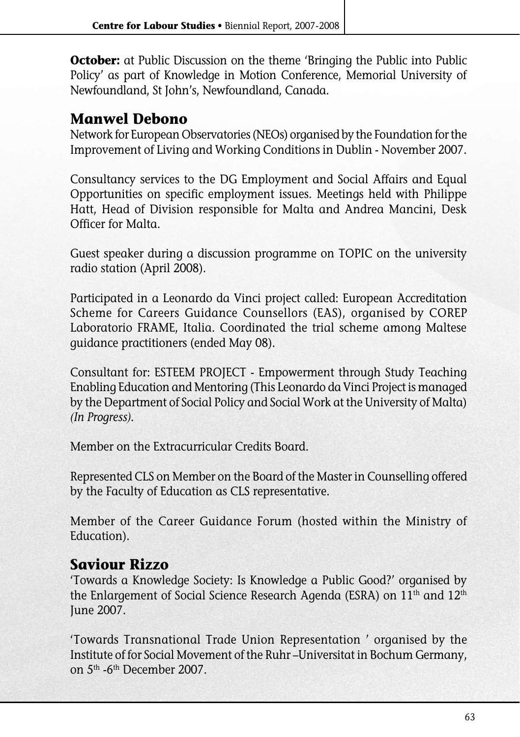**October:** at Public Discussion on the theme 'Bringing the Public into Public Policy' as part of Knowledge in Motion Conference, Memorial University of Newfoundland, St John's, Newfoundland, Canada.

## **Manwel Debono**

Network for European Observatories (NEOs) organised by the Foundation for the Improvement of Living and Working Conditions in Dublin - November 2007.

Consultancy services to the DG Employment and Social Affairs and Equal Opportunities on specific employment issues. Meetings held with Philippe Hatt, Head of Division responsible for Malta and Andrea Mancini, Desk Officer for Malta.

Guest speaker during a discussion programme on TOPIC on the university radio station (April 2008).

Participated in a Leonardo da Vinci project called: European Accreditation Scheme for Careers Guidance Counsellors (EAS), organised by COREP Laboratorio FRAME, Italia. Coordinated the trial scheme among Maltese guidance practitioners (ended May 08).

Consultant for: ESTEEM PROJECT - Empowerment through Study Teaching Enabling Education and Mentoring (This Leonardo da Vinci Project is managed by the Department of Social Policy and Social Work at the University of Malta) *(In Progress).*

Member on the Extracurricular Credits Board.

Represented CLS on Member on the Board of the Master in Counselling offered by the Faculty of Education as CLS representative.

Member of the Career Guidance Forum (hosted within the Ministry of Education).

## **Saviour Rizzo**

'Towards a Knowledge Society: Is Knowledge a Public Good?' organised by the Enlargement of Social Science Research Agenda (ESRA) on 11<sup>th</sup> and 12<sup>th</sup> June 2007.

'Towards Transnational Trade Union Representation ' organised by the Institute of for Social Movement of the Ruhr –Universitat in Bochum Germany, on 5th -6th December 2007.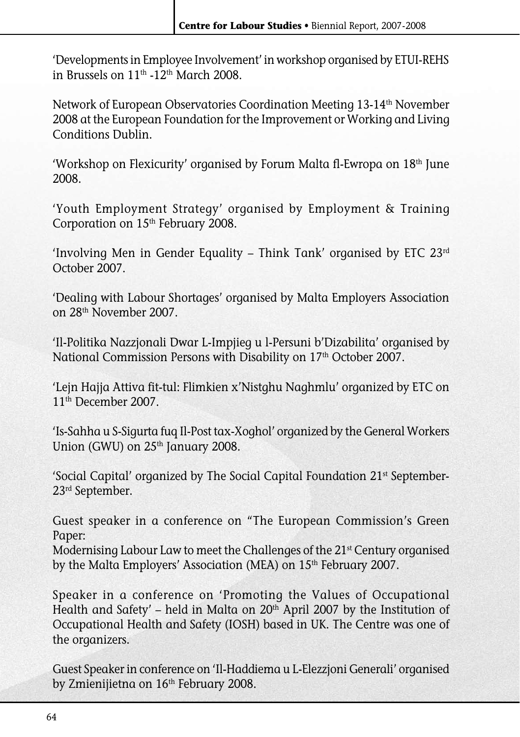'Developments in Employee Involvement' in workshop organised by ETUI-REHS in Brussels on 11th -12th March 2008.

Network of European Observatories Coordination Meeting 13-14<sup>th</sup> November 2008 at the European Foundation for the Improvement or Working and Living Conditions Dublin.

'Workshop on Flexicurity' organised by Forum Malta fl-Ewropa on 18th June 2008.

'Youth Employment Strategy' organised by Employment & Training Corporation on 15<sup>th</sup> February 2008.

'Involving Men in Gender Equality – Think Tank' organised by ETC 23rd October 2007.

'Dealing with Labour Shortages' organised by Malta Employers Association on 28th November 2007.

'Il-Politika Nazzjonali Dwar L-Impjieg u l-Persuni b'Dizabilita' organised by National Commission Persons with Disability on 17<sup>th</sup> October 2007.

'Lejn Hajja Attiva fit-tul: Flimkien x'Nistghu Naghmlu' organized by ETC on 11th December 2007.

'Is-Sahha u S-Sigurta fuq Il-Post tax-Xoghol' organized by the General Workers Union (GWU) on 25<sup>th</sup> January 2008.

'Social Capital' organized by The Social Capital Foundation 21st September-23rd September.

Guest speaker in a conference on "The European Commission's Green Paper:

Modernising Labour Law to meet the Challenges of the 21<sup>st</sup> Century organised by the Malta Employers' Association (MEA) on 15<sup>th</sup> February 2007.

Speaker in a conference on 'Promoting the Values of Occupational Health and Safety' – held in Malta on  $20<sup>th</sup>$  April 2007 by the Institution of Occupational Health and Safety (IOSH) based in UK. The Centre was one of the organizers.

Guest Speaker in conference on 'Il-Haddiema u L-Elezzjoni Generali' organised by Zmienijietna on 16<sup>th</sup> February 2008.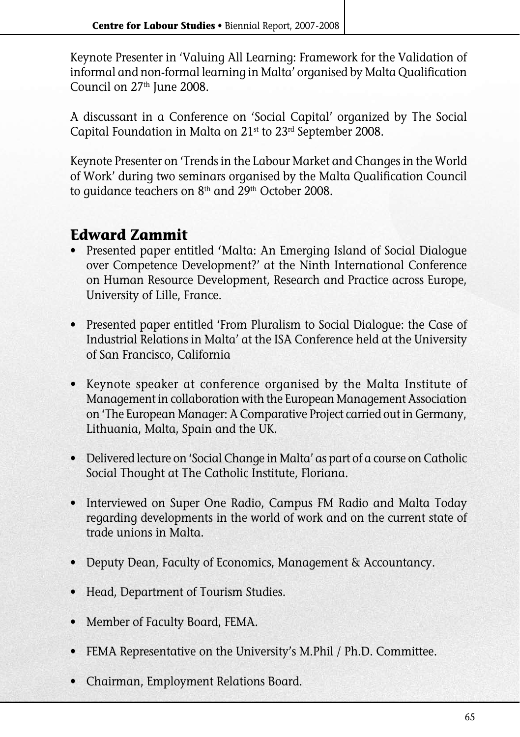Keynote Presenter in 'Valuing All Learning: Framework for the Validation of informal and non-formal learning in Malta' organised by Malta Qualification Council on 27<sup>th</sup> June 2008.

A discussant in a Conference on 'Social Capital' organized by The Social Capital Foundation in Malta on 21<sup>st</sup> to 23<sup>rd</sup> September 2008.

Keynote Presenter on 'Trends in the Labour Market and Changes in the World of Work' during two seminars organised by the Malta Qualification Council to guidance teachers on 8<sup>th</sup> and 29<sup>th</sup> October 2008.

# **Edward Zammit**

- Presented paper entitled **'**Malta: An Emerging Island of Social Dialogue over Competence Development?' at the Ninth International Conference on Human Resource Development, Research and Practice across Europe, University of Lille, France.
- Presented paper entitled 'From Pluralism to Social Dialogue: the Case of Industrial Relations in Malta' at the ISA Conference held at the University of San Francisco, California
- **•** Keynote speaker at conference organised by the Malta Institute of Management in collaboration with the European Management Association on 'The European Manager: A Comparative Project carried out in Germany, Lithuania, Malta, Spain and the UK.
- Delivered lecture on 'Social Change in Malta' as part of a course on Catholic Social Thought at The Catholic Institute, Floriana.
- Interviewed on Super One Radio, Campus FM Radio and Malta Today regarding developments in the world of work and on the current state of trade unions in Malta.
- Deputy Dean, Faculty of Economics, Management & Accountancy.
- Head, Department of Tourism Studies.
- Member of Faculty Board, FEMA.
- FEMA Representative on the University's M.Phil / Ph.D. Committee.
- Chairman, Employment Relations Board.